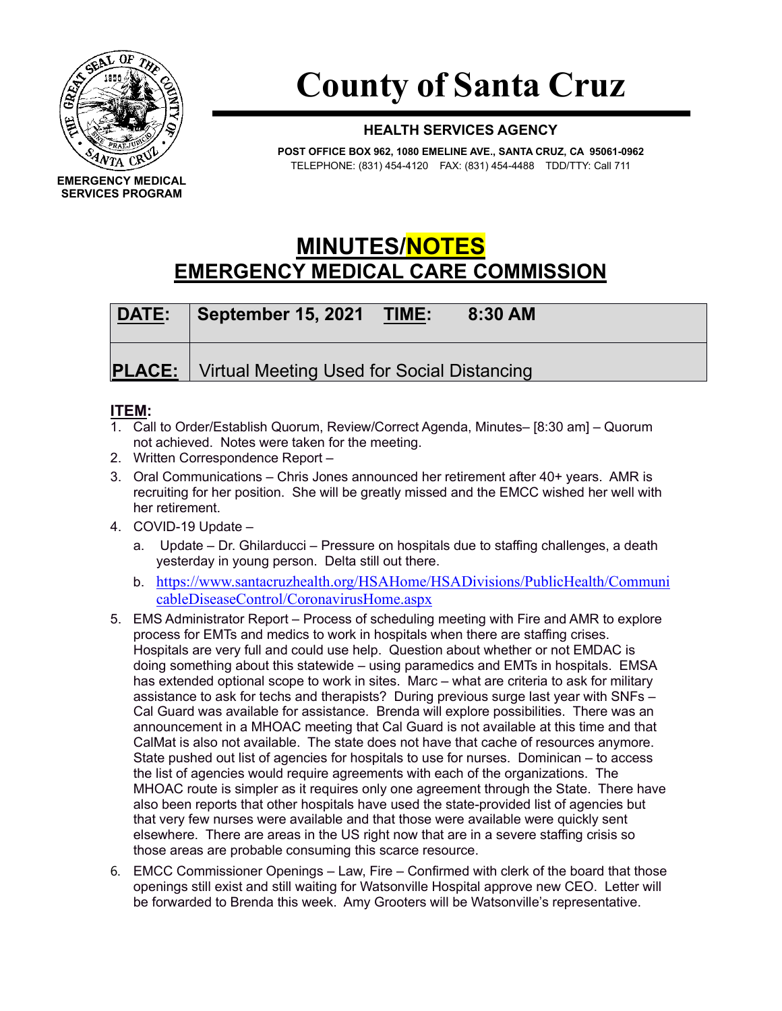

## **County of Santa Cruz**

## **HEALTH SERVICES AGENCY**

**POST OFFICE BOX 962, 1080 EMELINE AVE., SANTA CRUZ, CA 95061-0962** TELEPHONE: (831) 454-4120 FAX: (831) 454-4488 TDD/TTY: Call 711

**MINUTES/NOTES EMERGENCY MEDICAL CARE COMMISSION**

| DATE: | September 15, 2021<br>8:30 AM<br><b>TIME:</b>            |
|-------|----------------------------------------------------------|
|       | <b>PLACE:</b> Virtual Meeting Used for Social Distancing |

## **ITEM:**

- 1. Call to Order/Establish Quorum, Review/Correct Agenda, Minutes– [8:30 am] Quorum not achieved. Notes were taken for the meeting.
- 2. Written Correspondence Report –
- 3. Oral Communications Chris Jones announced her retirement after 40+ years. AMR is recruiting for her position. She will be greatly missed and the EMCC wished her well with her retirement.
- 4. COVID-19 Update
	- a. Update Dr. Ghilarducci Pressure on hospitals due to staffing challenges, a death yesterday in young person. Delta still out there.
	- b. [https://www.santacruzhealth.org/HSAHome/HSADivisions/PublicHealth/Communi](https://www.santacruzhealth.org/HSAHome/HSADivisions/PublicHealth/CommunicableDiseaseControl/CoronavirusHome.aspx) [cableDiseaseControl/CoronavirusHome.aspx](https://www.santacruzhealth.org/HSAHome/HSADivisions/PublicHealth/CommunicableDiseaseControl/CoronavirusHome.aspx)
- 5. EMS Administrator Report Process of scheduling meeting with Fire and AMR to explore process for EMTs and medics to work in hospitals when there are staffing crises. Hospitals are very full and could use help. Question about whether or not EMDAC is doing something about this statewide – using paramedics and EMTs in hospitals. EMSA has extended optional scope to work in sites. Marc – what are criteria to ask for military assistance to ask for techs and therapists? During previous surge last year with SNFs – Cal Guard was available for assistance. Brenda will explore possibilities. There was an announcement in a MHOAC meeting that Cal Guard is not available at this time and that CalMat is also not available. The state does not have that cache of resources anymore. State pushed out list of agencies for hospitals to use for nurses. Dominican – to access the list of agencies would require agreements with each of the organizations. The MHOAC route is simpler as it requires only one agreement through the State. There have also been reports that other hospitals have used the state-provided list of agencies but that very few nurses were available and that those were available were quickly sent elsewhere. There are areas in the US right now that are in a severe staffing crisis so those areas are probable consuming this scarce resource.
- 6. EMCC Commissioner Openings Law, Fire Confirmed with clerk of the board that those openings still exist and still waiting for Watsonville Hospital approve new CEO. Letter will be forwarded to Brenda this week. Amy Grooters will be Watsonville's representative.

**EMERGENCY MEDICAL SERVICES PROGRAM**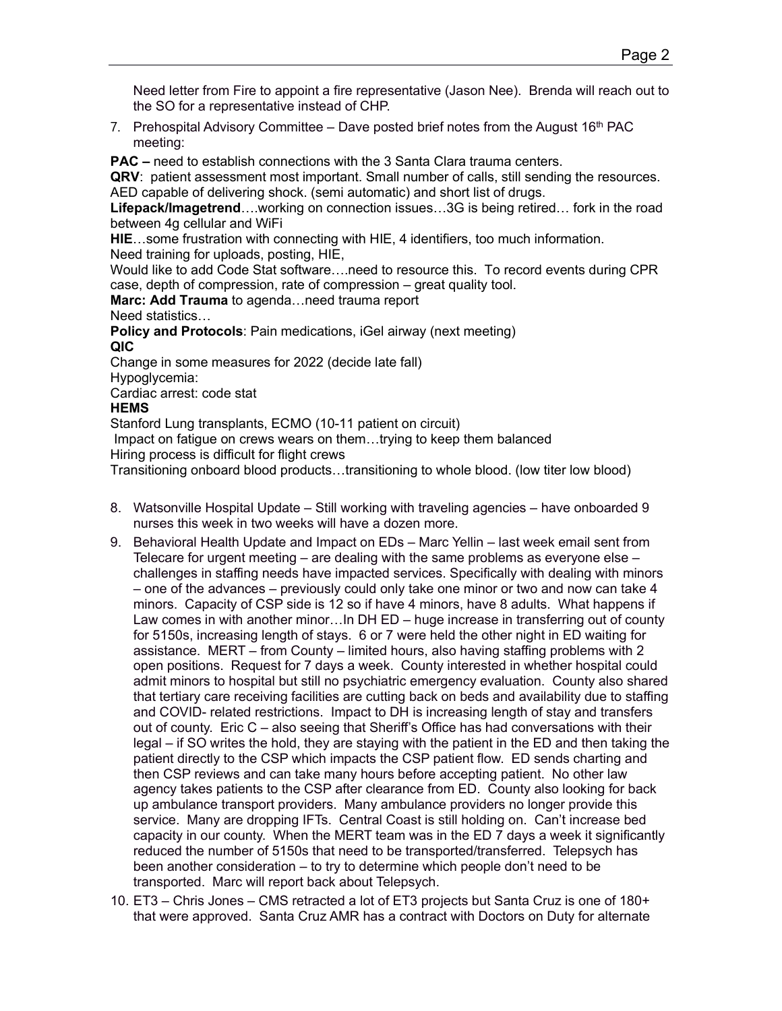Need letter from Fire to appoint a fire representative (Jason Nee). Brenda will reach out to the SO for a representative instead of CHP.

7. Prehospital Advisory Committee  $-$  Dave posted brief notes from the August 16<sup>th</sup> PAC meeting:

**PAC –** need to establish connections with the 3 Santa Clara trauma centers.

**QRV**: patient assessment most important. Small number of calls, still sending the resources. AED capable of delivering shock. (semi automatic) and short list of drugs.

**Lifepack/Imagetrend**….working on connection issues…3G is being retired… fork in the road between 4g cellular and WiFi

**HIE**…some frustration with connecting with HIE, 4 identifiers, too much information. Need training for uploads, posting, HIE,

Would like to add Code Stat software….need to resource this. To record events during CPR case, depth of compression, rate of compression – great quality tool.

**Marc: Add Trauma** to agenda…need trauma report

Need statistics…

**Policy and Protocols**: Pain medications, iGel airway (next meeting) **QIC**

Change in some measures for 2022 (decide late fall)

Hypoglycemia:

Cardiac arrest: code stat

## **HEMS**

Stanford Lung transplants, ECMO (10-11 patient on circuit) Impact on fatigue on crews wears on them…trying to keep them balanced Hiring process is difficult for flight crews

Transitioning onboard blood products…transitioning to whole blood. (low titer low blood)

- 8. Watsonville Hospital Update Still working with traveling agencies have onboarded 9 nurses this week in two weeks will have a dozen more.
- 9. Behavioral Health Update and Impact on EDs Marc Yellin last week email sent from Telecare for urgent meeting – are dealing with the same problems as everyone else – challenges in staffing needs have impacted services. Specifically with dealing with minors – one of the advances – previously could only take one minor or two and now can take 4 minors. Capacity of CSP side is 12 so if have 4 minors, have 8 adults. What happens if Law comes in with another minor…In DH ED – huge increase in transferring out of county for 5150s, increasing length of stays. 6 or 7 were held the other night in ED waiting for assistance. MERT – from County – limited hours, also having staffing problems with 2 open positions. Request for 7 days a week. County interested in whether hospital could admit minors to hospital but still no psychiatric emergency evaluation. County also shared that tertiary care receiving facilities are cutting back on beds and availability due to staffing and COVID- related restrictions. Impact to DH is increasing length of stay and transfers out of county. Eric C – also seeing that Sheriff's Office has had conversations with their legal – if SO writes the hold, they are staying with the patient in the ED and then taking the patient directly to the CSP which impacts the CSP patient flow. ED sends charting and then CSP reviews and can take many hours before accepting patient. No other law agency takes patients to the CSP after clearance from ED. County also looking for back up ambulance transport providers. Many ambulance providers no longer provide this service. Many are dropping IFTs. Central Coast is still holding on. Can't increase bed capacity in our county. When the MERT team was in the ED 7 days a week it significantly reduced the number of 5150s that need to be transported/transferred. Telepsych has been another consideration – to try to determine which people don't need to be transported. Marc will report back about Telepsych.
- 10. ET3 Chris Jones CMS retracted a lot of ET3 projects but Santa Cruz is one of 180+ that were approved. Santa Cruz AMR has a contract with Doctors on Duty for alternate